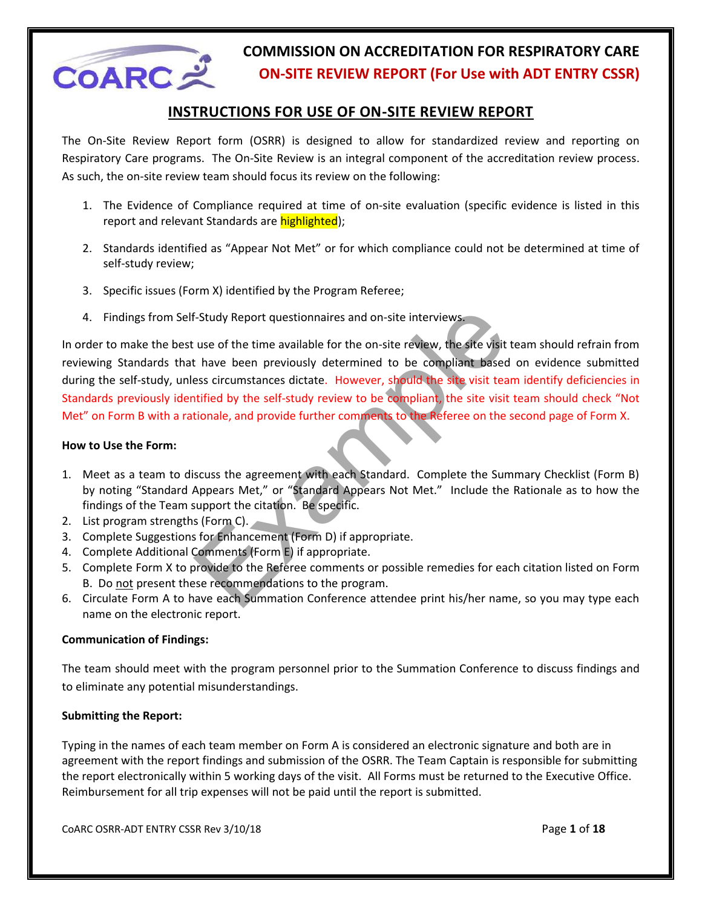

#### **INSTRUCTIONS FOR USE OF ON-SITE REVIEW REPORT**

The On-Site Review Report form (OSRR) is designed to allow for standardized review and reporting on Respiratory Care programs. The On-Site Review is an integral component of the accreditation review process. As such, the on-site review team should focus its review on the following:

- 1. The Evidence of Compliance required at time of on-site evaluation (specific evidence is listed in this report and relevant Standards are highlighted);
- 2. Standards identified as "Appear Not Met" or for which compliance could not be determined at time of self-study review;
- 3. Specific issues (Form X) identified by the Program Referee;
- 4. Findings from Self-Study Report questionnaires and on-site interviews.

F-Study Report questionnaires and on-site interviews.<br>
Let use of the time available for the on-site review, the site visit team shall thave been previously determined to be compliant based on eviess circumstances dictate. In order to make the best use of the time available for the on-site review, the site visit team should refrain from reviewing Standards that have been previously determined to be compliant based on evidence submitted during the self-study, unless circumstances dictate. However, should the site visit team identify deficiencies in Standards previously identified by the self-study review to be compliant, the site visit team should check "Not Met" on Form B with a rationale, and provide further comments to the Referee on the second page of Form X.

#### **How to Use the Form:**

- 1. Meet as a team to discuss the agreement with each Standard. Complete the Summary Checklist (Form B) by noting "Standard Appears Met," or "Standard Appears Not Met." Include the Rationale as to how the findings of the Team support the citation. Be specific.
- 2. List program strengths (Form C).
- 3. Complete Suggestions for Enhancement (Form D) if appropriate.
- 4. Complete Additional Comments (Form E) if appropriate.
- 5. Complete Form X to provide to the Referee comments or possible remedies for each citation listed on Form B. Do not present these recommendations to the program.
- 6. Circulate Form A to have each Summation Conference attendee print his/her name, so you may type each name on the electronic report.

#### **Communication of Findings:**

The team should meet with the program personnel prior to the Summation Conference to discuss findings and to eliminate any potential misunderstandings.

#### **Submitting the Report:**

Typing in the names of each team member on Form A is considered an electronic signature and both are in agreement with the report findings and submission of the OSRR. The Team Captain is responsible for submitting the report electronically within 5 working days of the visit. All Forms must be returned to the Executive Office. Reimbursement for all trip expenses will not be paid until the report is submitted.

CoARC OSRR-ADT ENTRY CSSR Rev 3/10/18 Page **1** of **18**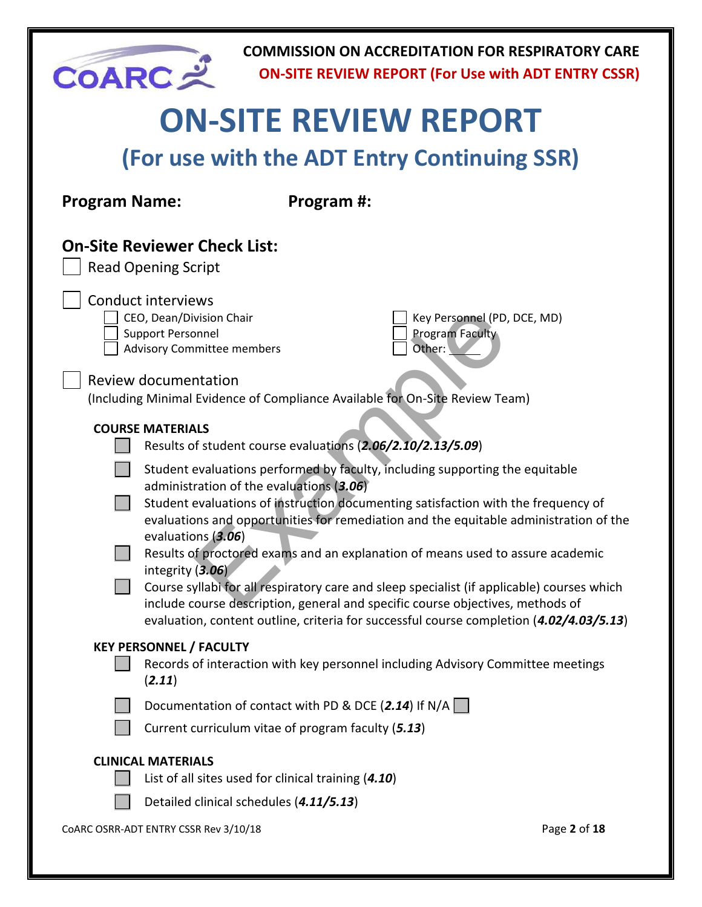| <b>COARC=</b>        |                                                                                                                        |                                                                                                            | <b>COMMISSION ON ACCREDITATION FOR RESPIRATORY CARE</b><br><b>ON-SITE REVIEW REPORT (For Use with ADT ENTRY CSSR)</b>                                                                                                                                                                                                                                     |              |  |  |  |  |
|----------------------|------------------------------------------------------------------------------------------------------------------------|------------------------------------------------------------------------------------------------------------|-----------------------------------------------------------------------------------------------------------------------------------------------------------------------------------------------------------------------------------------------------------------------------------------------------------------------------------------------------------|--------------|--|--|--|--|
|                      |                                                                                                                        |                                                                                                            | <b>ON-SITE REVIEW REPORT</b>                                                                                                                                                                                                                                                                                                                              |              |  |  |  |  |
|                      | (For use with the ADT Entry Continuing SSR)                                                                            |                                                                                                            |                                                                                                                                                                                                                                                                                                                                                           |              |  |  |  |  |
| <b>Program Name:</b> |                                                                                                                        | Program #:                                                                                                 |                                                                                                                                                                                                                                                                                                                                                           |              |  |  |  |  |
|                      | <b>On-Site Reviewer Check List:</b><br><b>Read Opening Script</b>                                                      |                                                                                                            |                                                                                                                                                                                                                                                                                                                                                           |              |  |  |  |  |
|                      | <b>Conduct interviews</b><br>CEO, Dean/Division Chair<br><b>Support Personnel</b><br><b>Advisory Committee members</b> |                                                                                                            | Key Personnel (PD, DCE, MD)<br>Program Faculty<br>Other:                                                                                                                                                                                                                                                                                                  |              |  |  |  |  |
|                      | <b>Review documentation</b>                                                                                            |                                                                                                            | (Including Minimal Evidence of Compliance Available for On-Site Review Team)                                                                                                                                                                                                                                                                              |              |  |  |  |  |
|                      | <b>COURSE MATERIALS</b>                                                                                                | Results of student course evaluations (2.06/2.10/2.13/5.09)                                                |                                                                                                                                                                                                                                                                                                                                                           |              |  |  |  |  |
|                      | evaluations (3.06)                                                                                                     | administration of the evaluations (3.06)                                                                   | Student evaluations performed by faculty, including supporting the equitable<br>Student evaluations of instruction documenting satisfaction with the frequency of<br>evaluations and opportunities for remediation and the equitable administration of the                                                                                                |              |  |  |  |  |
|                      | integrity $(3.06)$                                                                                                     |                                                                                                            | Results of proctored exams and an explanation of means used to assure academic<br>Course syllabi for all respiratory care and sleep specialist (if applicable) courses which<br>include course description, general and specific course objectives, methods of<br>evaluation, content outline, criteria for successful course completion (4.02/4.03/5.13) |              |  |  |  |  |
|                      | <b>KEY PERSONNEL / FACULTY</b><br>(2.11)                                                                               |                                                                                                            | Records of interaction with key personnel including Advisory Committee meetings                                                                                                                                                                                                                                                                           |              |  |  |  |  |
|                      |                                                                                                                        | Documentation of contact with PD & DCE (2.14) If N/A<br>Current curriculum vitae of program faculty (5.13) |                                                                                                                                                                                                                                                                                                                                                           |              |  |  |  |  |
|                      | <b>CLINICAL MATERIALS</b>                                                                                              | List of all sites used for clinical training (4.10)                                                        |                                                                                                                                                                                                                                                                                                                                                           |              |  |  |  |  |
|                      |                                                                                                                        | Detailed clinical schedules (4.11/5.13)                                                                    |                                                                                                                                                                                                                                                                                                                                                           |              |  |  |  |  |
|                      | CoARC OSRR-ADT ENTRY CSSR Rev 3/10/18                                                                                  |                                                                                                            |                                                                                                                                                                                                                                                                                                                                                           | Page 2 of 18 |  |  |  |  |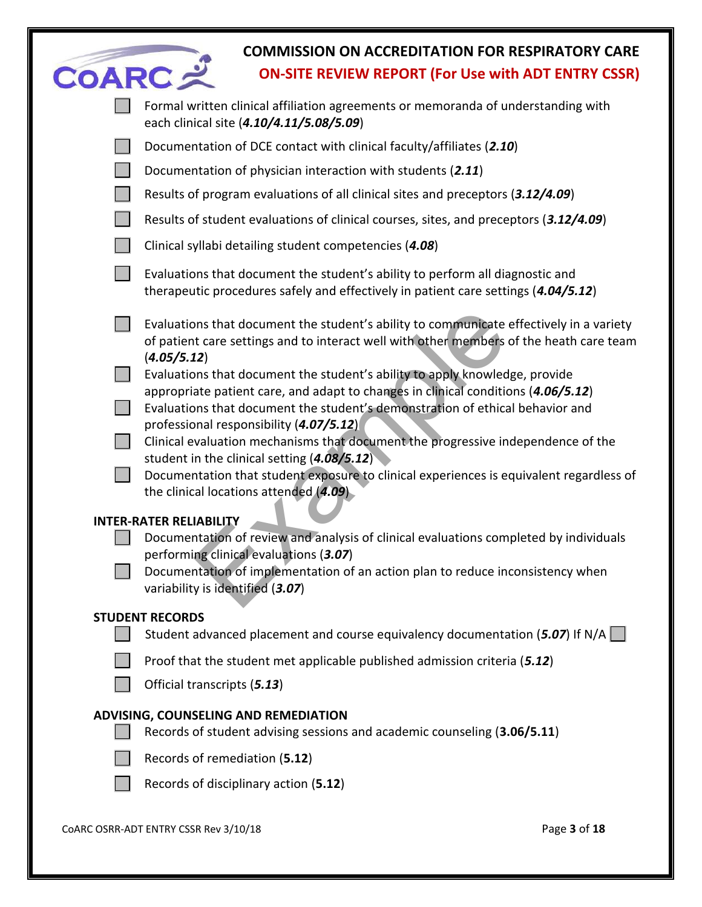|               | <b>COMMISSION ON ACCREDITATION FOR RESPIRATORY CARE</b>                                                                                                                                                                                           |              |
|---------------|---------------------------------------------------------------------------------------------------------------------------------------------------------------------------------------------------------------------------------------------------|--------------|
| <b>COARC:</b> | <b>ON-SITE REVIEW REPORT (For Use with ADT ENTRY CSSR)</b>                                                                                                                                                                                        |              |
|               | Formal written clinical affiliation agreements or memoranda of understanding with<br>each clinical site (4.10/4.11/5.08/5.09)                                                                                                                     |              |
|               | Documentation of DCE contact with clinical faculty/affiliates (2.10)                                                                                                                                                                              |              |
|               | Documentation of physician interaction with students (2.11)                                                                                                                                                                                       |              |
|               | Results of program evaluations of all clinical sites and preceptors (3.12/4.09)                                                                                                                                                                   |              |
|               | Results of student evaluations of clinical courses, sites, and preceptors (3.12/4.09)                                                                                                                                                             |              |
|               | Clinical syllabi detailing student competencies (4.08)                                                                                                                                                                                            |              |
|               | Evaluations that document the student's ability to perform all diagnostic and<br>therapeutic procedures safely and effectively in patient care settings (4.04/5.12)                                                                               |              |
|               | Evaluations that document the student's ability to communicate effectively in a variety<br>of patient care settings and to interact well with other members of the heath care team<br>(4.05/5.12)                                                 |              |
|               | Evaluations that document the student's ability to apply knowledge, provide<br>appropriate patient care, and adapt to changes in clinical conditions (4.06/5.12)<br>Evaluations that document the student's demonstration of ethical behavior and |              |
|               | professional responsibility (4.07/5.12)<br>Clinical evaluation mechanisms that document the progressive independence of the                                                                                                                       |              |
|               | student in the clinical setting $(4.08/5.12)$<br>Documentation that student exposure to clinical experiences is equivalent regardless of<br>the clinical locations attended (4.09).                                                               |              |
|               | <b>INTER-RATER RELIABILITY</b>                                                                                                                                                                                                                    |              |
|               | Documentation of review and analysis of clinical evaluations completed by individuals<br>performing clinical evaluations (3.07)                                                                                                                   |              |
|               | Documentation of implementation of an action plan to reduce inconsistency when<br>variability is identified (3.07)                                                                                                                                |              |
|               | <b>STUDENT RECORDS</b>                                                                                                                                                                                                                            |              |
|               | Student advanced placement and course equivalency documentation (5.07) If N/A                                                                                                                                                                     |              |
|               | Proof that the student met applicable published admission criteria (5.12)                                                                                                                                                                         |              |
|               | Official transcripts (5.13)                                                                                                                                                                                                                       |              |
|               | ADVISING, COUNSELING AND REMEDIATION                                                                                                                                                                                                              |              |
|               | Records of student advising sessions and academic counseling (3.06/5.11)                                                                                                                                                                          |              |
|               | Records of remediation (5.12)                                                                                                                                                                                                                     |              |
|               | Records of disciplinary action (5.12)                                                                                                                                                                                                             |              |
|               | COARC OSRR-ADT ENTRY CSSR Rev 3/10/18                                                                                                                                                                                                             | Page 3 of 18 |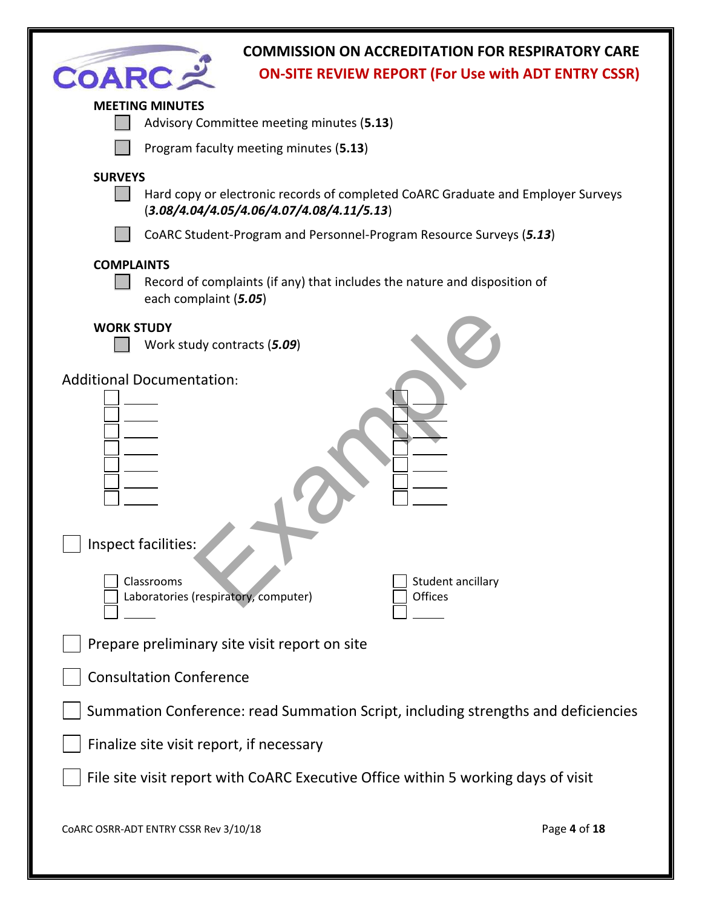| <b>COMMISSION ON ACCREDITATION FOR RESPIRATORY CARE</b><br><b>COARC</b><br><b>ON-SITE REVIEW REPORT (For Use with ADT ENTRY CSSR)</b>                                                                                    |              |
|--------------------------------------------------------------------------------------------------------------------------------------------------------------------------------------------------------------------------|--------------|
| <b>MEETING MINUTES</b><br>Advisory Committee meeting minutes (5.13)                                                                                                                                                      |              |
| Program faculty meeting minutes (5.13)                                                                                                                                                                                   |              |
| <b>SURVEYS</b><br>Hard copy or electronic records of completed CoARC Graduate and Employer Surveys<br>$(3.08/4.04/4.05/4.06/4.07/4.08/4.11/5.13)$<br>CoARC Student-Program and Personnel-Program Resource Surveys (5.13) |              |
|                                                                                                                                                                                                                          |              |
| <b>COMPLAINTS</b><br>Record of complaints (if any) that includes the nature and disposition of<br>each complaint (5.05)                                                                                                  |              |
| <b>WORK STUDY</b><br>Work study contracts (5.09)                                                                                                                                                                         |              |
| <b>Additional Documentation:</b>                                                                                                                                                                                         |              |
| Inspect facilities:                                                                                                                                                                                                      |              |
| Student ancillary<br>Classrooms<br>Laboratories (respiratory, computer)<br><b>Offices</b>                                                                                                                                |              |
| Prepare preliminary site visit report on site                                                                                                                                                                            |              |
| <b>Consultation Conference</b>                                                                                                                                                                                           |              |
| Summation Conference: read Summation Script, including strengths and deficiencies                                                                                                                                        |              |
| Finalize site visit report, if necessary                                                                                                                                                                                 |              |
| File site visit report with CoARC Executive Office within 5 working days of visit                                                                                                                                        |              |
| COARC OSRR-ADT ENTRY CSSR Rev 3/10/18                                                                                                                                                                                    | Page 4 of 18 |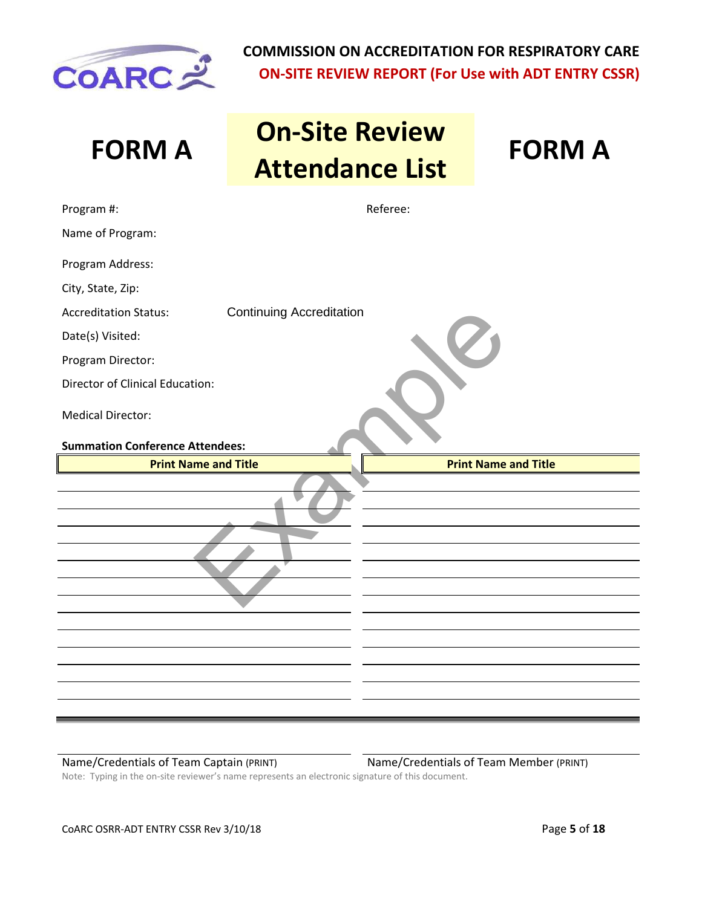

# **FORM A On-Site Review Attendance List FORM A**

| Program #:                             | Referee:                        |  |
|----------------------------------------|---------------------------------|--|
| Name of Program:                       |                                 |  |
| Program Address:                       |                                 |  |
| City, State, Zip:                      |                                 |  |
| <b>Accreditation Status:</b>           | <b>Continuing Accreditation</b> |  |
| Date(s) Visited:                       |                                 |  |
| Program Director:                      |                                 |  |
| <b>Director of Clinical Education:</b> |                                 |  |
| <b>Medical Director:</b>               |                                 |  |
| <b>Summation Conference Attendees:</b> |                                 |  |
| <b>Print Name and Title</b>            | <b>Print Name and Title</b>     |  |
|                                        |                                 |  |
|                                        |                                 |  |

Name/Credentials of Team Captain (PRINT) Name/Credentials of Team Member (PRINT) Note: Typing in the on-site reviewer's name represents an electronic signature of this document.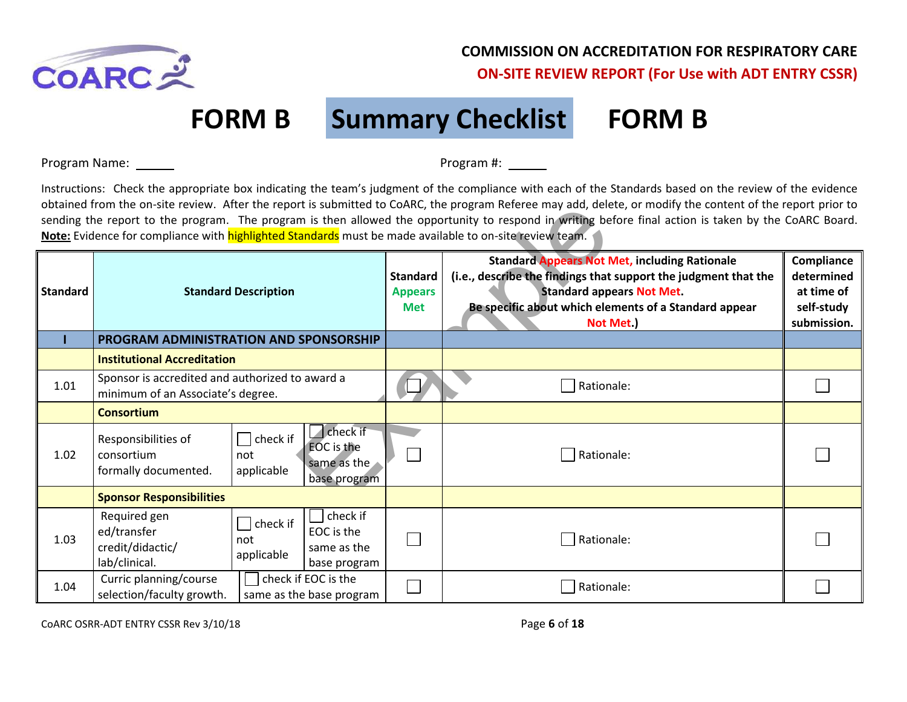

# **FORM B Summary Checklist FORM B**

Program Name: Program #:

Instructions: Check the appropriate box indicating the team's judgment of the compliance with each of the Standards based on the review of the evidence obtained from the on-site review. After the report is submitted to CoARC, the program Referee may add, delete, or modify the content of the report prior to sending the report to the program. The program is then allowed the opportunity to respond in writing before final action is taken by the CoARC Board. **Note:** Evidence for compliance with **highlighted Standards** must be made available to on-site review team.

|                 | optained from the on-site review. After the report is submitted to COARC, the program Referee may add, delete, or modify the content of the report prior to<br>sending the report to the program. The program is then allowed the opportunity to respond in writing before final action is taken by the CoARC Board.<br>Note: Evidence for compliance with highlighted Standards must be made available to on-site review team. |                                                       |                                                 |                                                                                                                                                                                                                                   |                                                                     |  |  |
|-----------------|---------------------------------------------------------------------------------------------------------------------------------------------------------------------------------------------------------------------------------------------------------------------------------------------------------------------------------------------------------------------------------------------------------------------------------|-------------------------------------------------------|-------------------------------------------------|-----------------------------------------------------------------------------------------------------------------------------------------------------------------------------------------------------------------------------------|---------------------------------------------------------------------|--|--|
| <b>Standard</b> | <b>Standard Description</b>                                                                                                                                                                                                                                                                                                                                                                                                     |                                                       | <b>Standard</b><br><b>Appears</b><br><b>Met</b> | <b>Standard Appears Not Met, including Rationale</b><br>(i.e., describe the findings that support the judgment that the<br><b>Standard appears Not Met.</b><br>Be specific about which elements of a Standard appear<br>Not Met.) | Compliance<br>determined<br>at time of<br>self-study<br>submission. |  |  |
|                 | PROGRAM ADMINISTRATION AND SPONSORSHIP                                                                                                                                                                                                                                                                                                                                                                                          |                                                       |                                                 |                                                                                                                                                                                                                                   |                                                                     |  |  |
|                 | <b>Institutional Accreditation</b>                                                                                                                                                                                                                                                                                                                                                                                              |                                                       |                                                 |                                                                                                                                                                                                                                   |                                                                     |  |  |
| 1.01            | Sponsor is accredited and authorized to award a<br>minimum of an Associate's degree.                                                                                                                                                                                                                                                                                                                                            |                                                       |                                                 | Rationale:                                                                                                                                                                                                                        |                                                                     |  |  |
|                 | <b>Consortium</b>                                                                                                                                                                                                                                                                                                                                                                                                               |                                                       |                                                 |                                                                                                                                                                                                                                   |                                                                     |  |  |
| 1.02            | $\Box$ check if<br>Responsibilities of<br>consortium<br>not<br>formally documented.<br>applicable                                                                                                                                                                                                                                                                                                                               | check if<br>FOC is the<br>same as the<br>base program |                                                 | Rationale:                                                                                                                                                                                                                        |                                                                     |  |  |
|                 | <b>Sponsor Responsibilities</b>                                                                                                                                                                                                                                                                                                                                                                                                 |                                                       |                                                 |                                                                                                                                                                                                                                   |                                                                     |  |  |
| 1.03            | Required gen<br>$\exists$ check if<br>ed/transfer<br>not<br>credit/didactic/<br>applicable<br>lab/clinical.                                                                                                                                                                                                                                                                                                                     | check if<br>EOC is the<br>same as the<br>base program |                                                 | Rationale:                                                                                                                                                                                                                        |                                                                     |  |  |
| 1.04            | Curric planning/course<br>check if EOC is the<br>selection/faculty growth.<br>same as the base program                                                                                                                                                                                                                                                                                                                          |                                                       |                                                 | Rationale:                                                                                                                                                                                                                        |                                                                     |  |  |

CoARC OSRR-ADT ENTRY CSSR Rev 3/10/18 Page **6** of **18**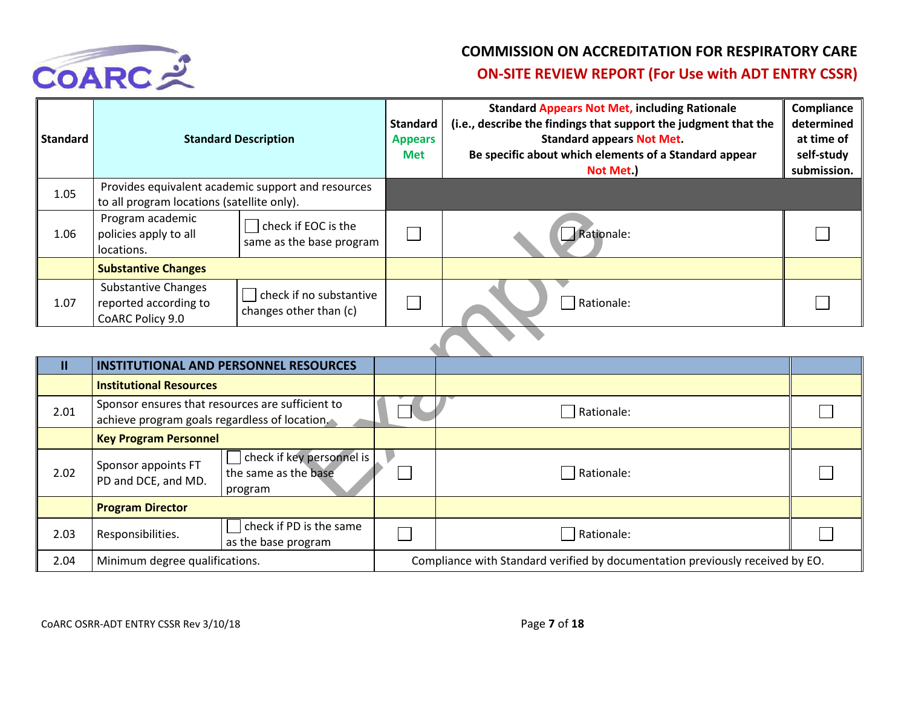

| <b>Standard</b> |                                                                                                  | <b>Standard Description</b>                       |                   | <b>Standard Appears Not Met, including Rationale</b><br>(i.e., describe the findings that support the judgment that the<br><b>Standard appears Not Met.</b><br>Be specific about which elements of a Standard appear<br>Not Met.) | Compliance<br>determined<br>at time of<br>self-study<br>submission. |
|-----------------|--------------------------------------------------------------------------------------------------|---------------------------------------------------|-------------------|-----------------------------------------------------------------------------------------------------------------------------------------------------------------------------------------------------------------------------------|---------------------------------------------------------------------|
| 1.05            | Provides equivalent academic support and resources<br>to all program locations (satellite only). |                                                   |                   |                                                                                                                                                                                                                                   |                                                                     |
| 1.06            | Program academic<br>policies apply to all<br>locations.                                          | check if EOC is the<br>same as the base program   | $\Box$            | Rationale:                                                                                                                                                                                                                        |                                                                     |
|                 | <b>Substantive Changes</b>                                                                       |                                                   |                   |                                                                                                                                                                                                                                   |                                                                     |
| 1.07            | <b>Substantive Changes</b><br>reported according to<br>CoARC Policy 9.0                          | check if no substantive<br>changes other than (c) | $\vert \ \ \vert$ | Rationale:                                                                                                                                                                                                                        |                                                                     |

| 1.06 | to an program locations (satemed only).<br>Program academic<br>policies apply to all<br>locations. | check if EOC is the<br>same as the base program              | Rationale:                                                                    |  |
|------|----------------------------------------------------------------------------------------------------|--------------------------------------------------------------|-------------------------------------------------------------------------------|--|
|      | <b>Substantive Changes</b>                                                                         |                                                              |                                                                               |  |
| 1.07 | <b>Substantive Changes</b><br>reported according to<br>CoARC Policy 9.0                            | check if no substantive<br>changes other than (c)            | Rationale:                                                                    |  |
|      |                                                                                                    |                                                              |                                                                               |  |
| Ш    | <b>INSTITUTIONAL AND PERSONNEL RESOURCES</b>                                                       |                                                              |                                                                               |  |
|      | <b>Institutional Resources</b>                                                                     |                                                              |                                                                               |  |
| 2.01 | Sponsor ensures that resources are sufficient to<br>achieve program goals regardless of location.  |                                                              | Rationale:                                                                    |  |
|      | <b>Key Program Personnel</b>                                                                       |                                                              |                                                                               |  |
| 2.02 | Sponsor appoints FT<br>PD and DCE, and MD.                                                         | check if key personnel is<br>the same as the base<br>program | Rationale:                                                                    |  |
|      | <b>Program Director</b>                                                                            |                                                              |                                                                               |  |
| 2.03 | Responsibilities.                                                                                  | check if PD is the same<br>as the base program               | Rationale:                                                                    |  |
| 2.04 | Minimum degree qualifications.                                                                     |                                                              | Compliance with Standard verified by documentation previously received by EO. |  |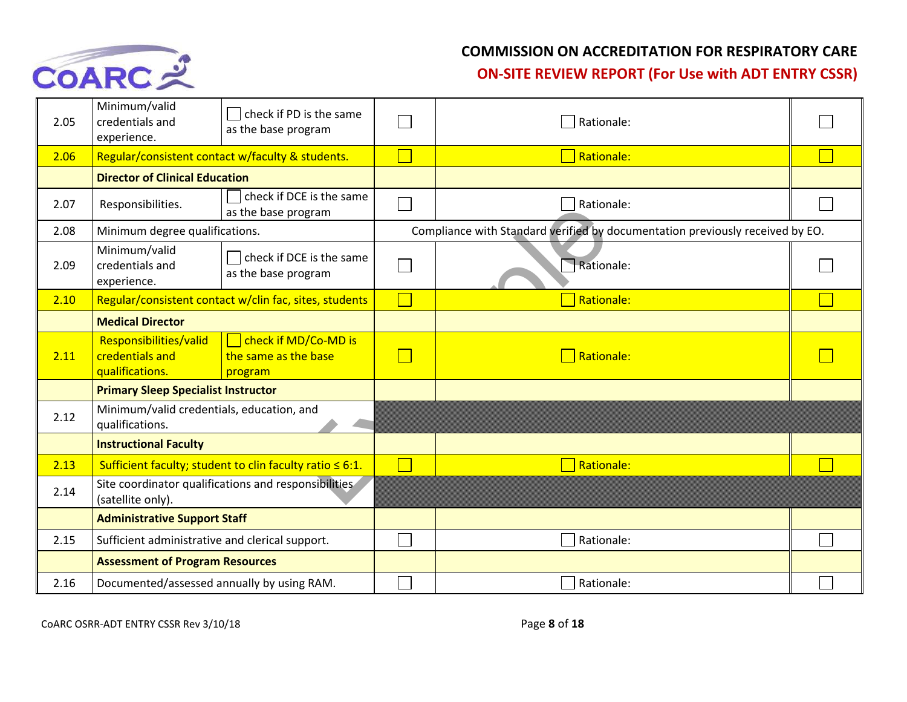

#### **COMMISSION ON ACCREDITATION FOR RESPIRATORY CARE**

**ON-SITE REVIEW REPORT (For Use with ADT ENTRY CSSR)** 

| 2.05 | Minimum/valid<br>credentials and<br>experience.                           | check if PD is the same<br>as the base program                 | Rationale:                                                                    |  |
|------|---------------------------------------------------------------------------|----------------------------------------------------------------|-------------------------------------------------------------------------------|--|
| 2.06 |                                                                           | Regular/consistent contact w/faculty & students.               | Rationale:                                                                    |  |
|      | <b>Director of Clinical Education</b>                                     |                                                                |                                                                               |  |
| 2.07 | Responsibilities.                                                         | check if DCE is the same<br>as the base program                | Rationale:                                                                    |  |
| 2.08 | Minimum degree qualifications.                                            |                                                                | Compliance with Standard verified by documentation previously received by EO. |  |
| 2.09 | Minimum/valid<br>credentials and<br>experience.                           | check if DCE is the same<br>as the base program                | Rationale:                                                                    |  |
| 2.10 |                                                                           | Regular/consistent contact w/clin fac, sites, students         | <b>Rationale:</b>                                                             |  |
|      | <b>Medical Director</b>                                                   |                                                                |                                                                               |  |
| 2.11 | Responsibilities/valid<br>credentials and<br>qualifications.              | check if MD/Co-MD is<br>the same as the base<br>program        | Rationale:                                                                    |  |
|      | <b>Primary Sleep Specialist Instructor</b>                                |                                                                |                                                                               |  |
| 2.12 | Minimum/valid credentials, education, and<br>qualifications.              |                                                                |                                                                               |  |
|      | <b>Instructional Faculty</b>                                              |                                                                |                                                                               |  |
| 2.13 |                                                                           | Sufficient faculty; student to clin faculty ratio $\leq 6:1$ . | Rationale:                                                                    |  |
| 2.14 | Site coordinator qualifications and responsibilities<br>(satellite only). |                                                                |                                                                               |  |
|      | <b>Administrative Support Staff</b>                                       |                                                                |                                                                               |  |
| 2.15 | Sufficient administrative and clerical support.                           |                                                                | Rationale:                                                                    |  |
|      | <b>Assessment of Program Resources</b>                                    |                                                                |                                                                               |  |
| 2.16 | Documented/assessed annually by using RAM.                                |                                                                | Rationale:                                                                    |  |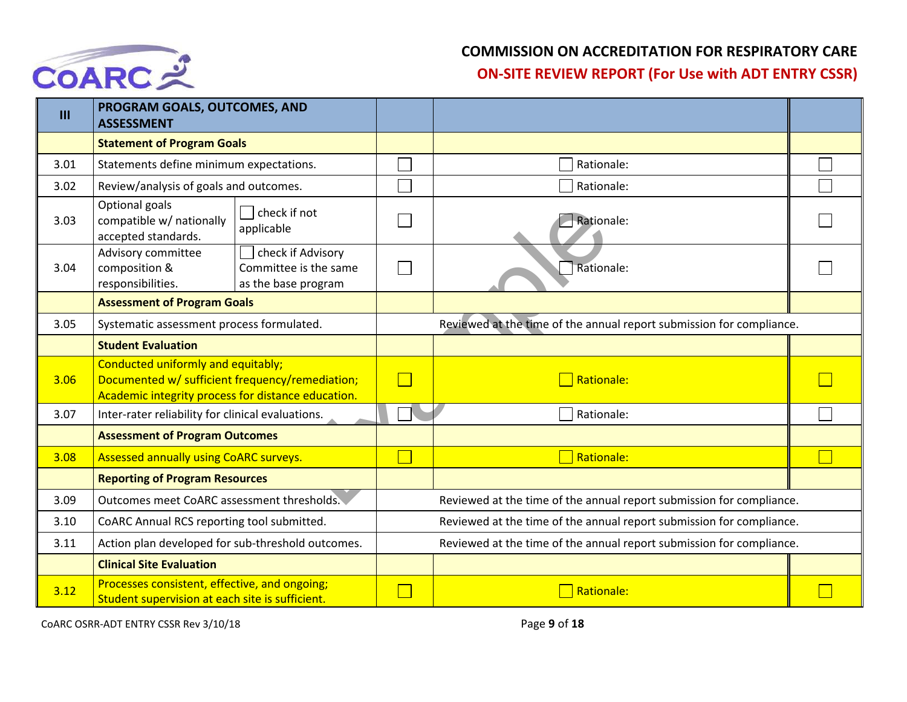

| III  | PROGRAM GOALS, OUTCOMES, AND<br><b>ASSESSMENT</b>                                                                                           |                                                                      |                                                                      |  |  |
|------|---------------------------------------------------------------------------------------------------------------------------------------------|----------------------------------------------------------------------|----------------------------------------------------------------------|--|--|
|      | <b>Statement of Program Goals</b>                                                                                                           |                                                                      |                                                                      |  |  |
| 3.01 | Statements define minimum expectations.                                                                                                     |                                                                      | Rationale:                                                           |  |  |
| 3.02 | Review/analysis of goals and outcomes.                                                                                                      |                                                                      | Rationale:                                                           |  |  |
| 3.03 | Optional goals<br>check if not<br>compatible w/ nationally<br>applicable<br>accepted standards.                                             |                                                                      | Rationale:                                                           |  |  |
| 3.04 | Advisory committee<br>check if Advisory<br>composition &<br>Committee is the same<br>responsibilities.<br>as the base program               |                                                                      | Rationale:                                                           |  |  |
|      | <b>Assessment of Program Goals</b>                                                                                                          |                                                                      |                                                                      |  |  |
| 3.05 | Systematic assessment process formulated.                                                                                                   |                                                                      | Reviewed at the time of the annual report submission for compliance. |  |  |
|      | <b>Student Evaluation</b>                                                                                                                   |                                                                      |                                                                      |  |  |
| 3.06 | Conducted uniformly and equitably;<br>Documented w/ sufficient frequency/remediation;<br>Academic integrity process for distance education. | $\Box$                                                               | <b>Rationale:</b>                                                    |  |  |
| 3.07 | Inter-rater reliability for clinical evaluations.                                                                                           |                                                                      | Rationale:                                                           |  |  |
|      | <b>Assessment of Program Outcomes</b>                                                                                                       |                                                                      |                                                                      |  |  |
| 3.08 | <b>Assessed annually using CoARC surveys.</b>                                                                                               |                                                                      | Rationale:                                                           |  |  |
|      | <b>Reporting of Program Resources</b>                                                                                                       |                                                                      |                                                                      |  |  |
| 3.09 | Outcomes meet CoARC assessment thresholds.                                                                                                  | Reviewed at the time of the annual report submission for compliance. |                                                                      |  |  |
| 3.10 | CoARC Annual RCS reporting tool submitted.                                                                                                  |                                                                      | Reviewed at the time of the annual report submission for compliance. |  |  |
| 3.11 | Action plan developed for sub-threshold outcomes.                                                                                           |                                                                      | Reviewed at the time of the annual report submission for compliance. |  |  |
|      | <b>Clinical Site Evaluation</b>                                                                                                             |                                                                      |                                                                      |  |  |
| 3.12 | Processes consistent, effective, and ongoing;<br>Student supervision at each site is sufficient.                                            |                                                                      | Rationale:                                                           |  |  |

CoARC OSRR-ADT ENTRY CSSR Rev 3/10/18 Page **9** of **18**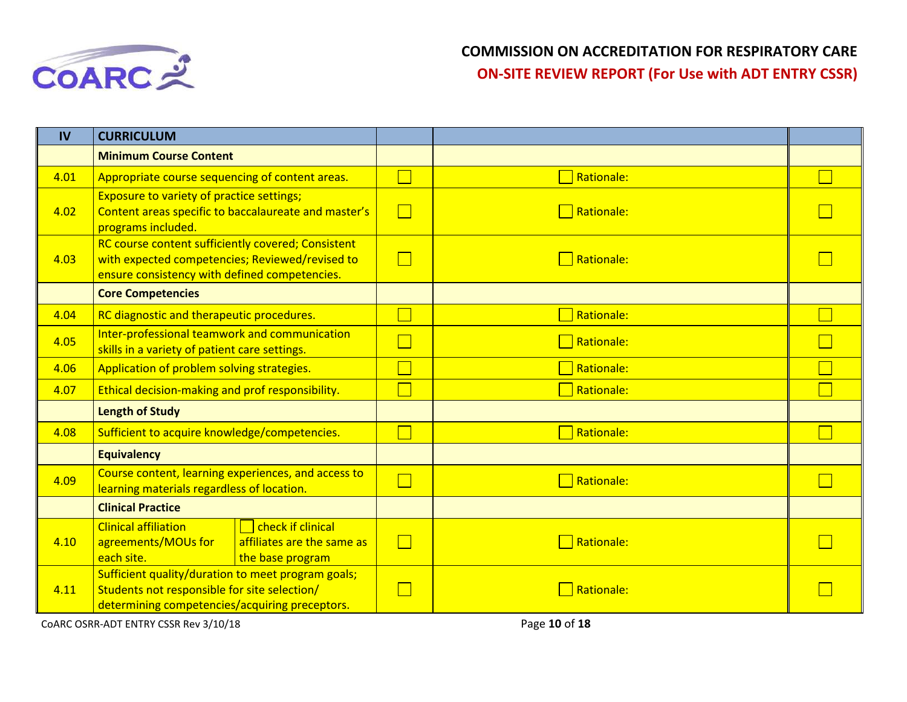

| IV   | <b>CURRICULUM</b>                                                                                                                                      |              |                   |  |
|------|--------------------------------------------------------------------------------------------------------------------------------------------------------|--------------|-------------------|--|
|      | <b>Minimum Course Content</b>                                                                                                                          |              |                   |  |
| 4.01 | Appropriate course sequencing of content areas.                                                                                                        |              | Rationale:        |  |
| 4.02 | <b>Exposure to variety of practice settings;</b><br>Content areas specific to baccalaureate and master's<br>programs included.                         | $\mathbf{I}$ | $\Box$ Rationale: |  |
| 4.03 | RC course content sufficiently covered; Consistent<br>with expected competencies; Reviewed/revised to<br>ensure consistency with defined competencies. |              | Rationale:        |  |
|      | <b>Core Competencies</b>                                                                                                                               |              |                   |  |
| 4.04 | RC diagnostic and therapeutic procedures.                                                                                                              |              | Rationale:        |  |
| 4.05 | Inter-professional teamwork and communication<br>skills in a variety of patient care settings.                                                         |              | Rationale:        |  |
| 4.06 | Application of problem solving strategies.                                                                                                             |              | Rationale:        |  |
| 4.07 | Ethical decision-making and prof responsibility.                                                                                                       |              | Rationale:        |  |
|      | <b>Length of Study</b>                                                                                                                                 |              |                   |  |
| 4.08 | Sufficient to acquire knowledge/competencies.                                                                                                          |              | Rationale:        |  |
|      | <b>Equivalency</b>                                                                                                                                     |              |                   |  |
| 4.09 | Course content, learning experiences, and access to<br>learning materials regardless of location.                                                      |              | Rationale:        |  |
|      | <b>Clinical Practice</b>                                                                                                                               |              |                   |  |
| 4.10 | check if clinical<br><b>Clinical affiliation</b><br>affiliates are the same as<br>agreements/MOUs for<br>the base program<br>each site.                |              | Rationale:        |  |
| 4.11 | Sufficient quality/duration to meet program goals;<br>Students not responsible for site selection/<br>determining competencies/acquiring preceptors.   |              | Rationale:        |  |

COARC OSRR-ADT ENTRY CSSR Rev 3/10/18 **Page 10** of **18**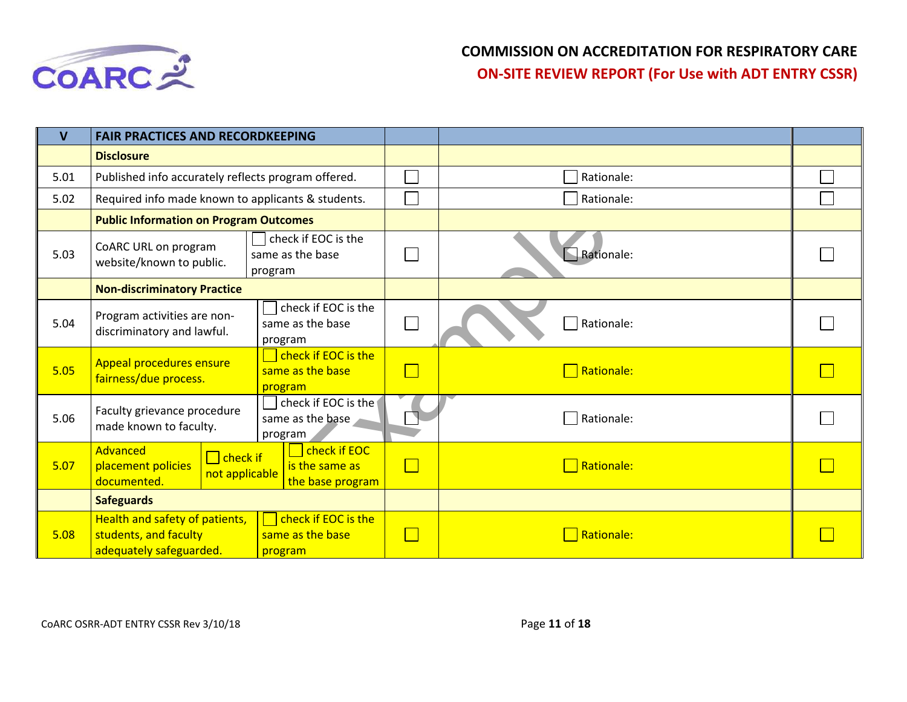

| $\mathbf v$ | <b>FAIR PRACTICES AND RECORDKEEPING</b>                                            |                                                    |            |  |
|-------------|------------------------------------------------------------------------------------|----------------------------------------------------|------------|--|
|             | <b>Disclosure</b>                                                                  |                                                    |            |  |
| 5.01        | Published info accurately reflects program offered.                                |                                                    | Rationale: |  |
| 5.02        | Required info made known to applicants & students.                                 |                                                    | Rationale: |  |
|             | <b>Public Information on Program Outcomes</b>                                      |                                                    |            |  |
| 5.03        | CoARC URL on program<br>website/known to public.                                   | check if EOC is the<br>same as the base<br>program | Rationale: |  |
|             | <b>Non-discriminatory Practice</b>                                                 |                                                    |            |  |
| 5.04        | Program activities are non-<br>discriminatory and lawful.                          | check if EOC is the<br>same as the base<br>program | Rationale: |  |
| 5.05        | <b>Appeal procedures ensure</b><br>fairness/due process.                           | check if EOC is the<br>same as the base<br>program | Rationale: |  |
| 5.06        | Faculty grievance procedure<br>made known to faculty.                              | check if EOC is the<br>same as the base<br>program | Rationale: |  |
| 5.07        | Advanced<br>$\Box$ check if<br>placement policies<br>not applicable<br>documented. | check if EOC<br>is the same as<br>the base program | Rationale: |  |
|             | <b>Safeguards</b>                                                                  |                                                    |            |  |
| 5.08        | Health and safety of patients,<br>students, and faculty<br>adequately safeguarded. | check if EOC is the<br>same as the base<br>program | Rationale: |  |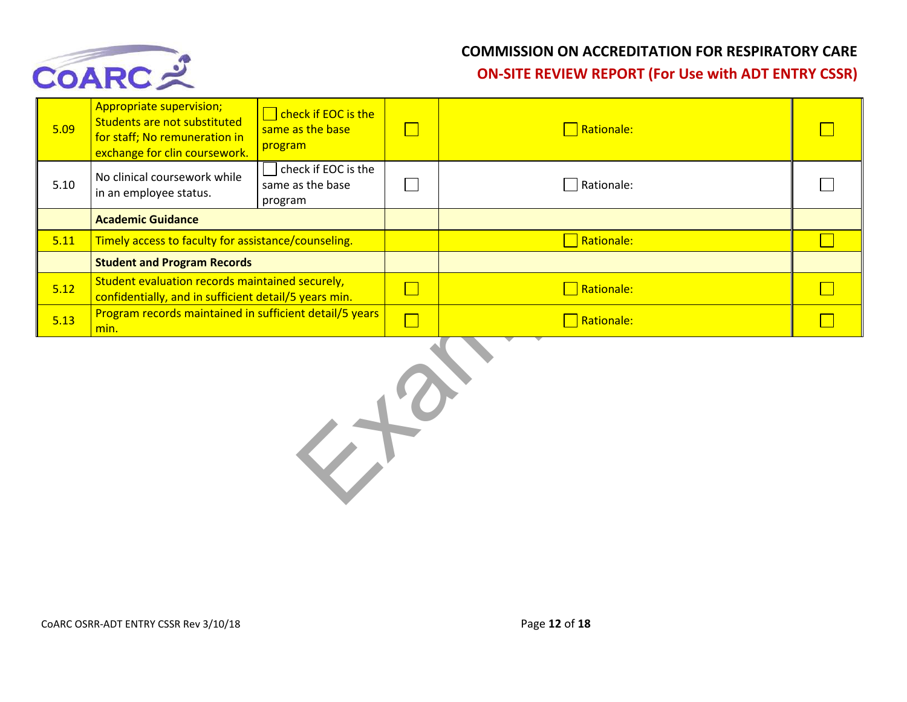

| 5.09   | <b>Appropriate supervision;</b><br>Students are not substituted<br>for staff; No remuneration in<br>exchange for clin coursework. | <b>Check if EOC is the</b><br>same as the base<br>program | $\Box$         | $\Box$ Rationale:    |  |  |  |
|--------|-----------------------------------------------------------------------------------------------------------------------------------|-----------------------------------------------------------|----------------|----------------------|--|--|--|
| $5.10$ | No clinical coursework while<br>in an employee status.                                                                            | check if EOC is the<br>same as the base<br>program        |                | $\exists$ Rationale: |  |  |  |
|        | <b>Academic Guidance</b>                                                                                                          |                                                           |                |                      |  |  |  |
| 5.11   | Timely access to faculty for assistance/counseling.                                                                               |                                                           |                | Rationale:           |  |  |  |
|        | <b>Student and Program Records</b>                                                                                                |                                                           |                |                      |  |  |  |
| 5.12   | Student evaluation records maintained securely,<br>confidentially, and in sufficient detail/5 years min.                          |                                                           | $\blacksquare$ | $\Box$ Rationale:    |  |  |  |
| 5.13   | Program records maintained in sufficient detail/5 years<br>min.                                                                   |                                                           | $\Box$         | $\Box$ Rationale:    |  |  |  |
|        |                                                                                                                                   |                                                           |                |                      |  |  |  |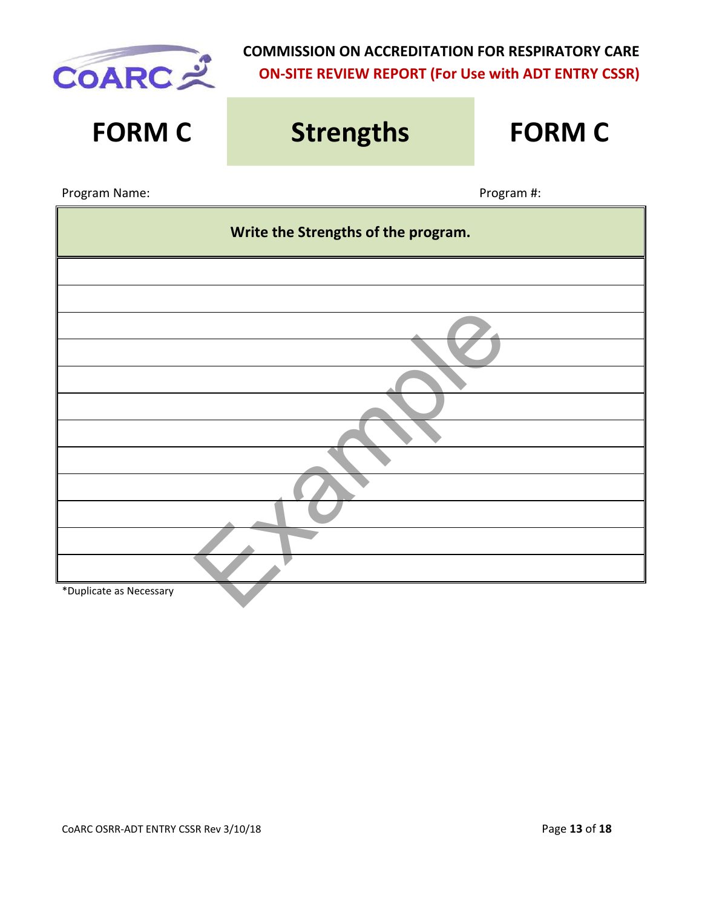

| <b>FORM C</b>                       | <b>Strengths</b> | <b>FORM C</b> |  |  |
|-------------------------------------|------------------|---------------|--|--|
| Program Name:                       |                  | Program #:    |  |  |
| Write the Strengths of the program. |                  |               |  |  |
|                                     |                  |               |  |  |
|                                     |                  |               |  |  |
|                                     |                  |               |  |  |
|                                     |                  |               |  |  |
|                                     |                  |               |  |  |
|                                     |                  |               |  |  |
|                                     |                  |               |  |  |
|                                     |                  |               |  |  |
|                                     |                  |               |  |  |
|                                     |                  |               |  |  |
|                                     |                  |               |  |  |
| *Duplicate as Necessary             |                  |               |  |  |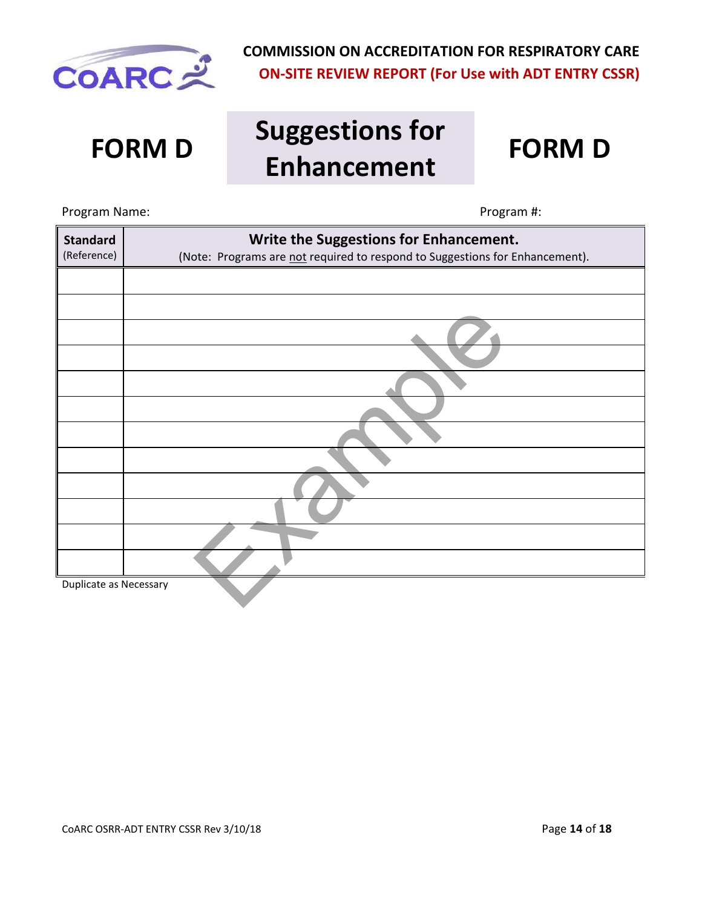

# **FORM D Suggestions for Enhancement FORM D**



# Example Program Name: Name: Program #: **Standard** (Reference) **Write the Suggestions for Enhancement.** (Note: Programs are not required to respond to Suggestions for Enhancement). Duplicate as Necessary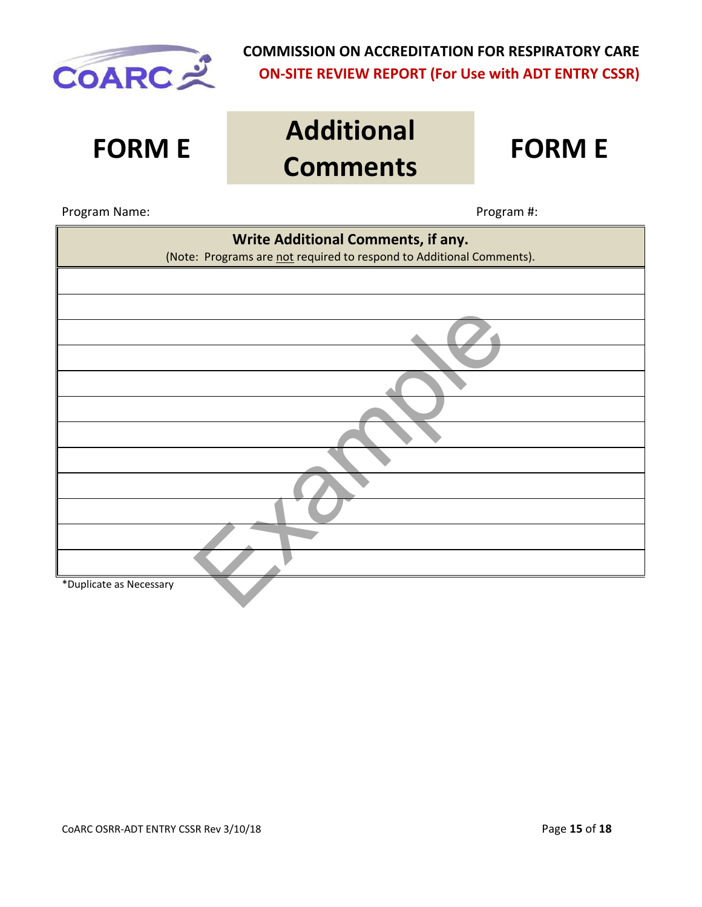

**FORM E Additional Comments FORM E**

#### Program Name: Name: Program #: Program #: Program #: Program #: Program #: Program #: Program #: Program #: Program #: Program #: Program #: Program #: Program #: Program #: Program #: Program #: Program #: Program #: Prog

| Write Additional Comments, if any.<br>(Note: Programs are not required to respond to Additional Comments). |  |  |
|------------------------------------------------------------------------------------------------------------|--|--|
|                                                                                                            |  |  |
|                                                                                                            |  |  |
|                                                                                                            |  |  |
|                                                                                                            |  |  |
|                                                                                                            |  |  |
|                                                                                                            |  |  |
|                                                                                                            |  |  |
|                                                                                                            |  |  |
|                                                                                                            |  |  |
|                                                                                                            |  |  |
|                                                                                                            |  |  |
| *Duplicate as Necessary                                                                                    |  |  |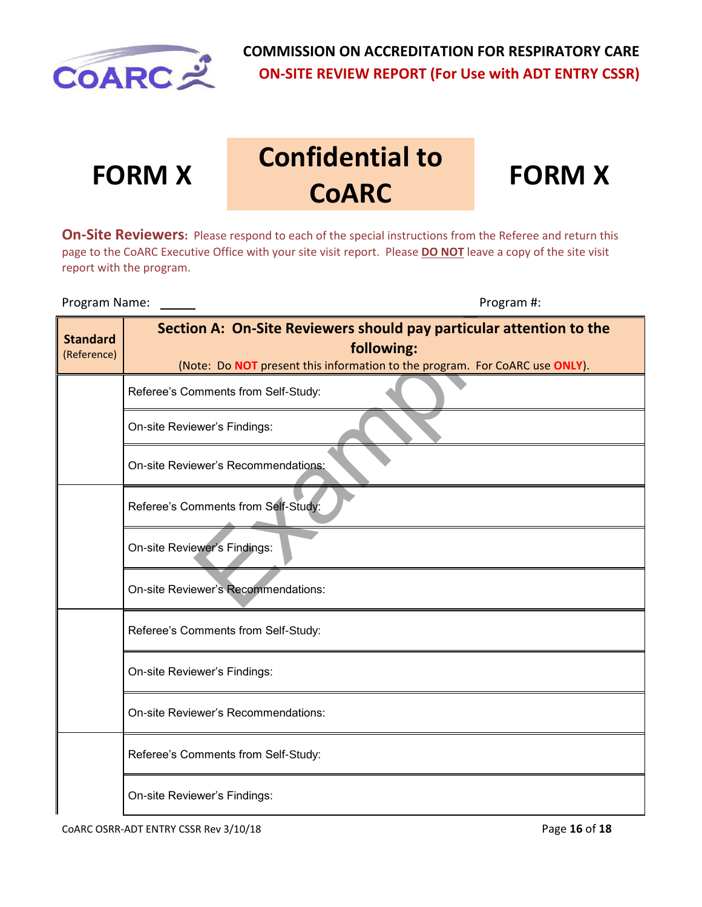

**FORM X Confidential to COARC** 



**On-Site Reviewers:** Please respond to each of the special instructions from the Referee and return this page to the CoARC Executive Office with your site visit report. Please **DO NOT** leave a copy of the site visit report with the program.

Program Name: \_\_\_\_\_\_\_ binding the set of the set of the program  $\#$ :

| <b>Standard</b><br>(Reference) | Section A: On-Site Reviewers should pay particular attention to the<br>following:<br>(Note: Do NOT present this information to the program. For CoARC use ONLY). |  |  |
|--------------------------------|------------------------------------------------------------------------------------------------------------------------------------------------------------------|--|--|
|                                | Referee's Comments from Self-Study:                                                                                                                              |  |  |
|                                | On-site Reviewer's Findings:                                                                                                                                     |  |  |
|                                | On-site Reviewer's Recommendations:                                                                                                                              |  |  |
|                                | Referee's Comments from Self-Study:                                                                                                                              |  |  |
|                                | On-site Reviewer's Findings:                                                                                                                                     |  |  |
|                                | On-site Reviewer's Recommendations:                                                                                                                              |  |  |
|                                | Referee's Comments from Self-Study:                                                                                                                              |  |  |
|                                | On-site Reviewer's Findings:                                                                                                                                     |  |  |
|                                | On-site Reviewer's Recommendations:                                                                                                                              |  |  |
|                                | Referee's Comments from Self-Study:                                                                                                                              |  |  |
|                                | On-site Reviewer's Findings:                                                                                                                                     |  |  |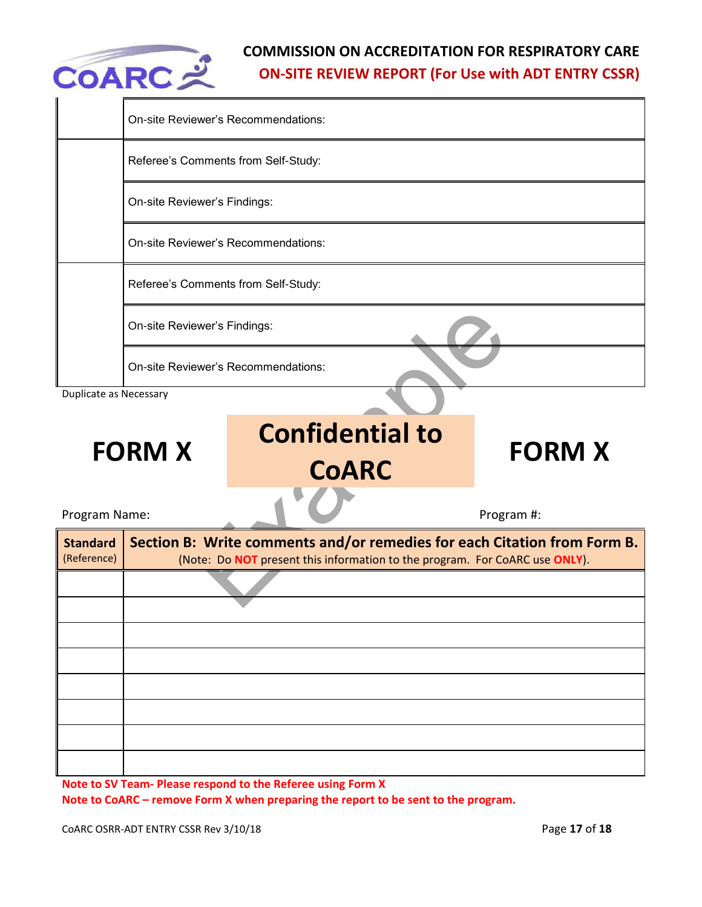

|                                | On-site Reviewer's Recommendations:        |                                                                                                                                                         |               |  |  |
|--------------------------------|--------------------------------------------|---------------------------------------------------------------------------------------------------------------------------------------------------------|---------------|--|--|
|                                | Referee's Comments from Self-Study:        |                                                                                                                                                         |               |  |  |
|                                | On-site Reviewer's Findings:               |                                                                                                                                                         |               |  |  |
|                                | <b>On-site Reviewer's Recommendations:</b> |                                                                                                                                                         |               |  |  |
|                                | Referee's Comments from Self-Study:        |                                                                                                                                                         |               |  |  |
|                                | On-site Reviewer's Findings:               |                                                                                                                                                         |               |  |  |
|                                | On-site Reviewer's Recommendations:        |                                                                                                                                                         |               |  |  |
| Duplicate as Necessary         |                                            |                                                                                                                                                         |               |  |  |
| <b>FORM X</b>                  |                                            | <b>Confidential to</b><br><b>CoARC</b>                                                                                                                  | <b>FORM X</b> |  |  |
| Program Name:                  |                                            |                                                                                                                                                         | Program #:    |  |  |
| <b>Standard</b><br>(Reference) |                                            | Section B: Write comments and/or remedies for each Citation from Form B.<br>(Note: Do NOT present this information to the program. For CoARC use ONLY). |               |  |  |
|                                |                                            |                                                                                                                                                         |               |  |  |
|                                |                                            |                                                                                                                                                         |               |  |  |
|                                |                                            |                                                                                                                                                         |               |  |  |

**Note to SV Team- Please respond to the Referee using Form X** 

**Note to CoARC – remove Form X when preparing the report to be sent to the program.**